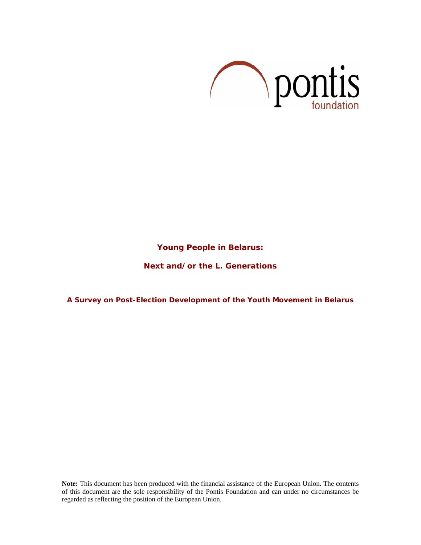

# **Young People in Belarus:**

# **Next and/or the L. Generations**

# **A Survey on Post-Election Development of the Youth Movement in Belarus**

**Note:** This document has been produced with the financial assistance of the European Union. The contents of this document are the sole responsibility of the Pontis Foundation and can under no circumstances be regarded as reflecting the position of the European Union.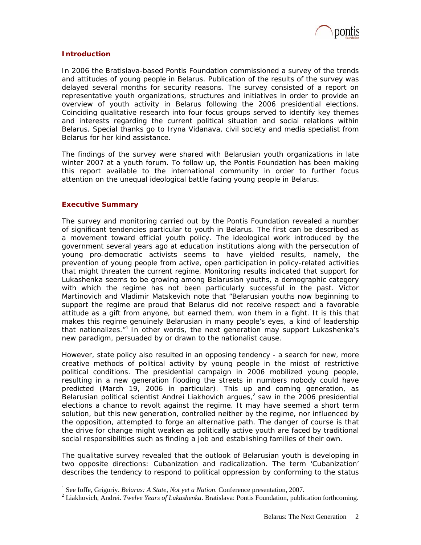

# **Introduction**

In 2006 the Bratislava-based Pontis Foundation commissioned a survey of the trends and attitudes of young people in Belarus. Publication of the results of the survey was delayed several months for security reasons. The survey consisted of a report on representative youth organizations, structures and initiatives in order to provide an overview of youth activity in Belarus following the 2006 presidential elections. Coinciding qualitative research into four focus groups served to identify key themes and interests regarding the current political situation and social relations within Belarus. Special thanks go to Iryna Vidanava, civil society and media specialist from Belarus for her kind assistance.

The findings of the survey were shared with Belarusian youth organizations in late winter 2007 at a youth forum. To follow up, the Pontis Foundation has been making this report available to the international community in order to further focus attention on the unequal ideological battle facing young people in Belarus.

# **Executive Summary**

 $\overline{a}$ 

The survey and monitoring carried out by the Pontis Foundation revealed a number of significant tendencies particular to youth in Belarus. The first can be described as a movement toward official youth policy. The ideological work introduced by the government several years ago at education institutions along with the persecution of young pro-democratic activists seems to have yielded results, namely, the prevention of young people from active, open participation in policy-related activities that might threaten the current regime. Monitoring results indicated that support for Lukashenka seems to be growing among Belarusian youths, a demographic category with which the regime has not been particularly successful in the past. Victor Martinovich and Vladimir Matskevich note that "Belarusian youths now beginning to support the regime are proud that Belarus did not receive respect and a favorable attitude as a gift from anyone, but earned them, won them in a fight. It is this that makes this regime genuinely Belarusian in many people's eyes, a kind of leadership that nationalizes."<sup>1</sup> In other words, the next generation may support Lukashenka's new paradigm, persuaded by or drawn to the nationalist cause.

However, state policy also resulted in an opposing tendency - a search for new, more creative methods of political activity by young people in the midst of restrictive political conditions. The presidential campaign in 2006 mobilized young people, resulting in a new generation flooding the streets in numbers nobody could have predicted (March 19, 2006 in particular). This up and coming generation, as Belarusian political scientist Andrei Liakhovich argues, $^2$  saw in the 2006 presidential elections a chance to revolt against the regime. It may have seemed a short term solution, but this new generation, controlled neither by the regime, nor influenced by the opposition, attempted to forge an alternative path. The danger of course is that the drive for change might weaken as politically active youth are faced by traditional social responsibilities such as finding a job and establishing families of their own.

The qualitative survey revealed that the outlook of Belarusian youth is developing in two opposite directions: Cubanization and radicalization. The term 'Cubanization' describes the tendency to respond to political oppression by conforming to the status

<sup>&</sup>lt;sup>1</sup> See Ioffe, Grigoriy. *Belarus: A State, Not yet a Nation*. Conference presentation, 2007.

Liakhovich, Andrei. *Twelve Years of Lukashenka*. Bratislava: Pontis Foundation, publication forthcoming.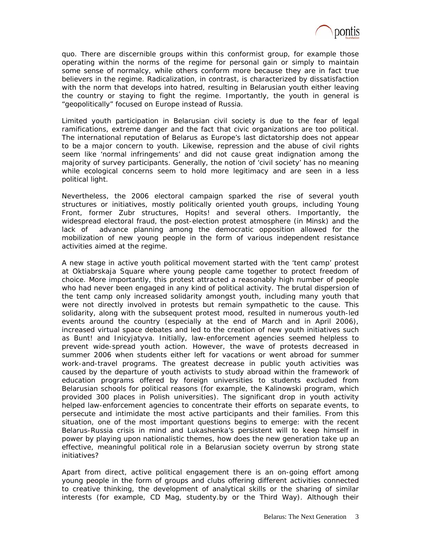

quo. There are discernible groups within this conformist group, for example those operating within the norms of the regime for personal gain or simply to maintain some sense of normalcy, while others conform more because they are in fact true believers in the regime. Radicalization, in contrast, is characterized by dissatisfaction with the norm that develops into hatred, resulting in Belarusian youth either leaving the country or staying to fight the regime. Importantly, the youth in general is "geopolitically" focused on Europe instead of Russia.

Limited youth participation in Belarusian civil society is due to the fear of legal ramifications, extreme danger and the fact that civic organizations are too political. The international reputation of Belarus as Europe's last dictatorship does not appear to be a major concern to youth. Likewise, repression and the abuse of civil rights seem like 'normal infringements' and did not cause great indignation among the majority of survey participants. Generally, the notion of 'civil society' has no meaning while ecological concerns seem to hold more legitimacy and are seen in a less political light.

Nevertheless, the 2006 electoral campaign sparked the rise of several youth structures or initiatives, mostly politically oriented youth groups, including Young Front, former Zubr structures, Hopits! and several others. Importantly, the widespread electoral fraud, the post-election protest atmosphere (in Minsk) and the lack of advance planning among the democratic opposition allowed for the mobilization of new young people in the form of various independent resistance activities aimed at the regime.

A new stage in active youth political movement started with the 'tent camp' protest at Oktiabrskaja Square where young people came together to protect freedom of choice. More importantly, this protest attracted a reasonably high number of people who had never been engaged in any kind of political activity. The brutal dispersion of the tent camp only increased solidarity amongst youth, including many youth that were not directly involved in protests but remain sympathetic to the cause. This solidarity, along with the subsequent protest mood, resulted in numerous youth-led events around the country (especially at the end of March and in April 2006), increased virtual space debates and led to the creation of new youth initiatives such as Bunt! and *Inicyjatyva*. Initially, law-enforcement agencies seemed helpless to prevent wide-spread youth action. However, the wave of protests decreased in summer 2006 when students either left for vacations or went abroad for summer work-and-travel programs. The greatest decrease in public youth activities was caused by the departure of youth activists to study abroad within the framework of education programs offered by foreign universities to students excluded from Belarusian schools for political reasons (for example, the Kalinowski program, which provided 300 places in Polish universities). The significant drop in youth activity helped law-enforcement agencies to concentrate their efforts on separate events, to persecute and intimidate the most active participants and their families. From this situation, one of the most important questions begins to emerge: with the recent Belarus-Russia crisis in mind and Lukashenka's persistent will to keep himself in power by playing upon nationalistic themes, how does the new generation take up an effective, meaningful political role in a Belarusian society overrun by strong state initiatives?

Apart from direct, active political engagement there is an on-going effort among young people in the form of groups and clubs offering different activities connected to creative thinking, the development of analytical skills or the sharing of similar interests (for example, CD Mag, studenty.by or the Third Way). Although their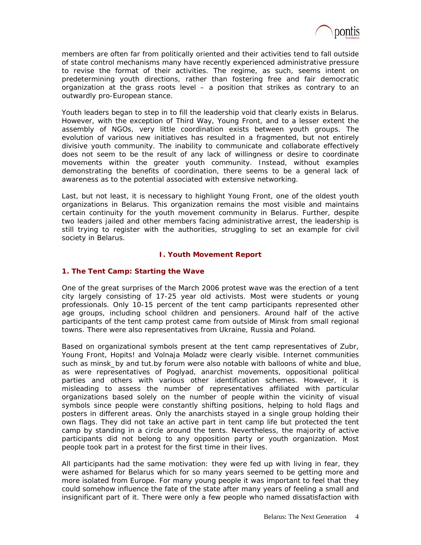

members are often far from politically oriented and their activities tend to fall outside of state control mechanisms many have recently experienced administrative pressure to revise the format of their activities. The regime, as such, seems intent on predetermining youth directions, rather than fostering free and fair democratic organization at the grass roots level – a position that strikes as contrary to an outwardly pro-European stance.

Youth leaders began to step in to fill the leadership void that clearly exists in Belarus. However, with the exception of Third Way, Young Front, and to a lesser extent the assembly of NGOs, very little coordination exists between youth groups. The evolution of various new initiatives has resulted in a fragmented, but not entirely divisive youth community. The inability to communicate and collaborate effectively does not seem to be the result of any lack of willingness or desire to coordinate movements within the greater youth community. Instead, without examples demonstrating the benefits of coordination, there seems to be a general lack of awareness as to the potential associated with extensive networking.

Last, but not least, it is necessary to highlight Young Front, one of the oldest youth organizations in Belarus. This organization remains the most visible and maintains certain continuity for the youth movement community in Belarus. Further, despite two leaders jailed and other members facing administrative arrest, the leadership is still trying to register with the authorities, struggling to set an example for civil society in Belarus.

# **I. Youth Movement Report**

# **1. The Tent Camp: Starting the Wave**

One of the great surprises of the March 2006 protest wave was the erection of a tent city largely consisting of 17-25 year old activists. Most were students or young professionals. Only 10-15 percent of the tent camp participants represented other age groups, including school children and pensioners. Around half of the active participants of the tent camp protest came from outside of Minsk from small regional towns. There were also representatives from Ukraine, Russia and Poland.

Based on organizational symbols present at the tent camp representatives of Zubr, Young Front, Hopits! and *Volnaja Moladz* were clearly visible. Internet communities such as minsk\_by and tut.by forum were also notable with balloons of white and blue, as were representatives of *Poglyad*, anarchist movements, oppositional political parties and others with various other identification schemes. However, it is misleading to assess the number of representatives affiliated with particular organizations based solely on the number of people within the vicinity of visual symbols since people were constantly shifting positions, helping to hold flags and posters in different areas. Only the anarchists stayed in a single group holding their own flags. They did not take an active part in tent camp life but protected the tent camp by standing in a circle around the tents. Nevertheless, the majority of active participants did not belong to any opposition party or youth organization. Most people took part in a protest for the first time in their lives.

All participants had the same motivation: they were fed up with living in fear, they were ashamed for Belarus which for so many years seemed to be getting more and more isolated from Europe. For many young people it was important to feel that they could somehow influence the fate of the state after many years of feeling a small and insignificant part of it. There were only a few people who named dissatisfaction with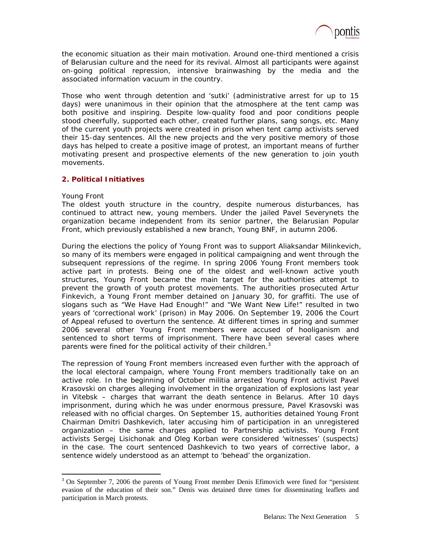

the economic situation as their main motivation. Around one-third mentioned a crisis of Belarusian culture and the need for its revival. Almost all participants were against on-going political repression, intensive brainwashing by the media and the associated information vacuum in the country.

Those who went through detention and 'sutki' (administrative arrest for up to 15 days) were unanimous in their opinion that the atmosphere at the tent camp was both positive and inspiring. Despite low-quality food and poor conditions people stood cheerfully, supported each other, created further plans, sang songs, etc. Many of the current youth projects were created in prison when tent camp activists served their 15-day sentences. All the new projects and the very positive memory of those days has helped to create a positive image of protest, an important means of further motivating present and prospective elements of the new generation to join youth movements.

# **2. Political Initiatives**

### *Young Front*

 $\overline{a}$ 

The oldest youth structure in the country, despite numerous disturbances, has continued to attract new, young members. Under the jailed Pavel Severynets the organization became independent from its senior partner, the Belarusian Popular Front, which previously established a new branch, Young BNF, in autumn 2006.

During the elections the policy of Young Front was to support Aliaksandar Milinkevich, so many of its members were engaged in political campaigning and went through the subsequent repressions of the regime. In spring 2006 Young Front members took active part in protests. Being one of the oldest and well-known active youth structures, Young Front became the main target for the authorities attempt to prevent the growth of youth protest movements. The authorities prosecuted Artur Finkevich, a Young Front member detained on January 30, for graffiti. The use of slogans such as "We Have Had Enough!" and "We Want New Life!" resulted in two years of 'correctional work' (prison) in May 2006. On September 19, 2006 the Court of Appeal refused to overturn the sentence. At different times in spring and summer 2006 several other Young Front members were accused of hooliganism and sentenced to short terms of imprisonment. There have been several cases where parents were fined for the political activity of their children. $3$ 

The repression of Young Front members increased even further with the approach of the local electoral campaign, where Young Front members traditionally take on an active role. In the beginning of October militia arrested Young Front activist Pavel Krasovski on charges alleging involvement in the organization of explosions last year in Vitebsk – charges that warrant the death sentence in Belarus. After 10 days imprisonment, during which he was under enormous pressure, Pavel Krasovski was released with no official charges. On September 15, authorities detained Young Front Chairman Dmitri Dashkevich, later accusing him of participation in an unregistered organization – the same charges applied to Partnership activists. Young Front activists Sergej Lisichonak and Oleg Korban were considered 'witnesses' (suspects) in the case. The court sentenced Dashkevich to two years of corrective labor, a sentence widely understood as an attempt to 'behead' the organization.

<sup>&</sup>lt;sup>3</sup> On September 7, 2006 the parents of Young Front member Denis Efimovich were fined for "persistent" evasion of the education of their son." Denis was detained three times for disseminating leaflets and participation in March protests.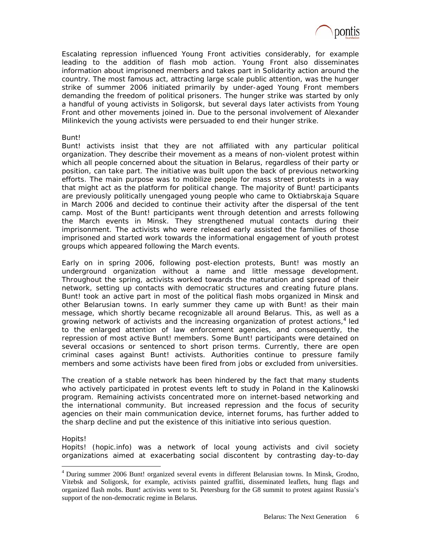

Escalating repression influenced Young Front activities considerably, for example leading to the addition of flash mob action. Young Front also disseminates information about imprisoned members and takes part in Solidarity action around the country. The most famous act, attracting large scale public attention, was the hunger strike of summer 2006 initiated primarily by under-aged Young Front members demanding the freedom of political prisoners. The hunger strike was started by only a handful of young activists in Soligorsk, but several days later activists from Young Front and other movements joined in. Due to the personal involvement of Alexander Milinkevich the young activists were persuaded to end their hunger strike.

### *Bunt!*

Bunt! activists insist that they are not affiliated with any particular political organization. They describe their movement as a means of non-violent protest within which all people concerned about the situation in Belarus, regardless of their party or position, can take part. The initiative was built upon the back of previous networking efforts. The main purpose was to mobilize people for mass street protests in a way that might act as the platform for political change. The majority of Bunt! participants are previously politically unengaged young people who came to Oktiabrskaja Square in March 2006 and decided to continue their activity after the dispersal of the tent camp. Most of the Bunt! participants went through detention and arrests following the March events in Minsk. They strengthened mutual contacts during their imprisonment. The activists who were released early assisted the families of those imprisoned and started work towards the informational engagement of youth protest groups which appeared following the March events.

Early on in spring 2006, following post-election protests, Bunt! was mostly an underground organization without a name and little message development. Throughout the spring, activists worked towards the maturation and spread of their network, setting up contacts with democratic structures and creating future plans. Bunt! took an active part in most of the political flash mobs organized in Minsk and other Belarusian towns. In early summer they came up with Bunt! as their main message, which shortly became recognizable all around Belarus. This, as well as a growing network of activists and the increasing organization of protest actions, $4$  led to the enlarged attention of law enforcement agencies, and consequently, the repression of most active Bunt! members. Some Bunt! participants were detained on several occasions or sentenced to short prison terms. Currently, there are open criminal cases against Bunt! activists. Authorities continue to pressure family members and some activists have been fired from jobs or excluded from universities.

The creation of a stable network has been hindered by the fact that many students who actively participated in protest events left to study in Poland in the Kalinowski program. Remaining activists concentrated more on internet-based networking and the international community. But increased repression and the focus of security agencies on their main communication device, internet forums, has further added to the sharp decline and put the existence of this initiative into serious question.

### *Hopits!*

 $\overline{a}$ 

Hopits! (hopic.info) was a network of local young activists and civil society organizations aimed at exacerbating social discontent by contrasting day-to-day

<sup>4</sup> During summer 2006 Bunt! organized several events in different Belarusian towns. In Minsk, Grodno, Vitebsk and Soligorsk, for example, activists painted graffiti, disseminated leaflets, hung flags and organized flash mobs. Bunt! activists went to St. Petersburg for the G8 summit to protest against Russia's support of the non-democratic regime in Belarus.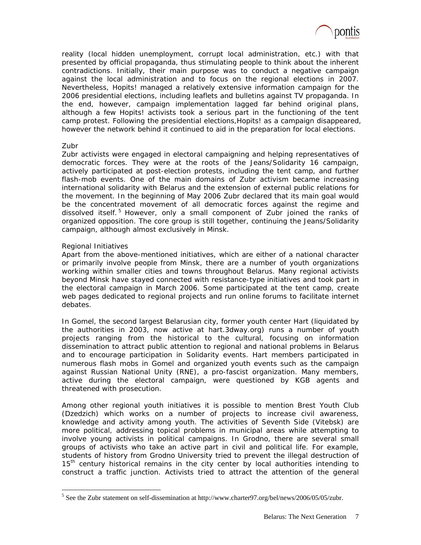

reality (local hidden unemployment, corrupt local administration, etc.) with that presented by official propaganda, thus stimulating people to think about the inherent contradictions. Initially, their main purpose was to conduct a negative campaign against the local administration and to focus on the regional elections in 2007. Nevertheless, Hopits! managed a relatively extensive information campaign for the 2006 presidential elections, including leaflets and bulletins against TV propaganda. In the end, however, campaign implementation lagged far behind original plans, although a few Hopits! activists took a serious part in the functioning of the tent camp protest. Following the presidential elections,Hopits! as a campaign disappeared, however the network behind it continued to aid in the preparation for local elections.

### *Zubr*

 $\overline{a}$ 

Zubr activists were engaged in electoral campaigning and helping representatives of democratic forces. They were at the roots of the Jeans/Solidarity 16 campaign, actively participated at post-election protests, including the tent camp, and further flash-mob events. One of the main domains of Zubr activism became increasing international solidarity with Belarus and the extension of external public relations for the movement. In the beginning of May 2006 Zubr declared that its main goal would be the concentrated movement of all democratic forces against the regime and dissolved itself.<sup>5</sup> However, only a small component of Zubr joined the ranks of organized opposition. The core group is still together, continuing the Jeans/Solidarity campaign, although almost exclusively in Minsk.

# *Regional Initiatives*

Apart from the above-mentioned initiatives, which are either of a national character or primarily involve people from Minsk, there are a number of youth organizations working within smaller cities and towns throughout Belarus. Many regional activists beyond Minsk have stayed connected with resistance-type initiatives and took part in the electoral campaign in March 2006. Some participated at the tent camp, create web pages dedicated to regional projects and run online forums to facilitate internet debates.

In Gomel, the second largest Belarusian city, former youth center Hart (liquidated by the authorities in 2003, now active at hart.3dway.org) runs a number of youth projects ranging from the historical to the cultural, focusing on information dissemination to attract public attention to regional and national problems in Belarus and to encourage participation in Solidarity events. Hart members participated in numerous flash mobs in Gomel and organized youth events such as the campaign against Russian National Unity (RNE), a pro-fascist organization. Many members, active during the electoral campaign, were questioned by KGB agents and threatened with prosecution.

Among other regional youth initiatives it is possible to mention Brest Youth Club (*Dzedzich*) which works on a number of projects to increase civil awareness, knowledge and activity among youth. The activities of Seventh Side (*Vitebsk*) are more political, addressing topical problems in municipal areas while attempting to involve young activists in political campaigns. In Grodno, there are several small groups of activists who take an active part in civil and political life. For example, students of history from Grodno University tried to prevent the illegal destruction of 15<sup>th</sup> century historical remains in the city center by local authorities intending to construct a traffic junction. Activists tried to attract the attention of the general

<sup>&</sup>lt;sup>5</sup> See the Zubr statement on self-dissemination at http://www.charter97.org/bel/news/2006/05/05/zubr.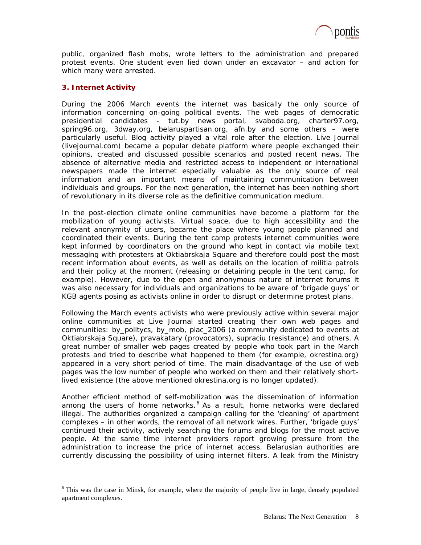

public, organized flash mobs, wrote letters to the administration and prepared protest events. One student even lied down under an excavator – and action for which many were arrested.

# **3. Internet Activity**

 $\overline{a}$ 

During the 2006 March events the internet was basically the only source of information concerning on-going political events. The web pages of democratic presidential candidates - tut.by news portal, svaboda.org, charter97.org, spring96.org, 3dway.org, belaruspartisan.org, afn.by and some others – were particularly useful. Blog activity played a vital role after the election. Live Journal (livejournal.com) became a popular debate platform where people exchanged their opinions, created and discussed possible scenarios and posted recent news. The absence of alternative media and restricted access to independent or international newspapers made the internet especially valuable as the only source of real information and an important means of maintaining communication between individuals and groups. For the next generation, the internet has been nothing short of revolutionary in its diverse role as the definitive communication medium.

In the post-election climate online communities have become a platform for the mobilization of young activists. Virtual space, due to high accessibility and the relevant anonymity of users, became the place where young people planned and coordinated their events. During the tent camp protests internet communities were kept informed by coordinators on the ground who kept in contact via mobile text messaging with protesters at Oktiabrskaja Square and therefore could post the most recent information about events, as well as details on the location of militia patrols and their policy at the moment (releasing or detaining people in the tent camp, for example). However, due to the open and anonymous nature of internet forums it was also necessary for individuals and organizations to be aware of 'brigade guys' or KGB agents posing as activists online in order to disrupt or determine protest plans.

Following the March events activists who were previously active within several major online communities at Live Journal started creating their own web pages and communities: by\_politycs, by\_mob, plac\_2006 (a community dedicated to events at Oktiabrskaja Square), *pravakatary* (provocators), *supraciu* (resistance) and others. A great number of smaller web pages created by people who took part in the March protests and tried to describe what happened to them (for example, okrestina.org) appeared in a very short period of time. The main disadvantage of the use of web pages was the low number of people who worked on them and their relatively shortlived existence (the above mentioned okrestina.org is no longer updated).

Another efficient method of self-mobilization was the dissemination of information among the users of home networks.<sup>6</sup> As a result, home networks were declared illegal. The authorities organized a campaign calling for the 'cleaning' of apartment complexes – in other words, the removal of all network wires. Further, 'brigade guys' continued their activity, actively searching the forums and blogs for the most active people. At the same time internet providers report growing pressure from the administration to increase the price of internet access. Belarusian authorities are currently discussing the possibility of using internet filters. A leak from the Ministry

<sup>&</sup>lt;sup>6</sup> This was the case in Minsk, for example, where the majority of people live in large, densely populated apartment complexes.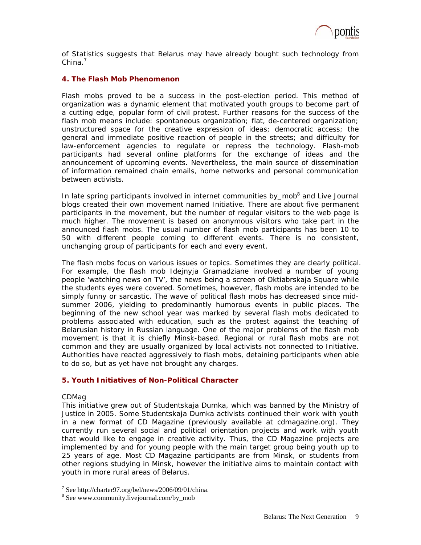

of Statistics suggests that Belarus may have already bought such technology from China. $^7$ 

# **4. The Flash Mob Phenomenon**

Flash mobs proved to be a success in the post-election period. This method of organization was a dynamic element that motivated youth groups to become part of a cutting edge, popular form of civil protest. Further reasons for the success of the flash mob means include: spontaneous organization; flat, de-centered organization; unstructured space for the creative expression of ideas; democratic access; the general and immediate positive reaction of people in the streets; and difficulty for law-enforcement agencies to regulate or repress the technology. Flash-mob participants had several online platforms for the exchange of ideas and the announcement of upcoming events. Nevertheless, the main source of dissemination of information remained chain emails, home networks and personal communication between activists.

In late spring participants involved in internet communities by\_mob<sup>8</sup> and Live Journal blogs created their own movement named Initiative. There are about five permanent participants in the movement, but the number of regular visitors to the web page is much higher. The movement is based on anonymous visitors who take part in the announced flash mobs. The usual number of flash mob participants has been 10 to 50 with different people coming to different events. There is no consistent, unchanging group of participants for each and every event.

The flash mobs focus on various issues or topics. Sometimes they are clearly political. For example, the flash mob *Idejnyja Gramadziane* involved a number of young people 'watching news on TV', the news being a screen of Oktiabrskaja Square while the students eyes were covered. Sometimes, however, flash mobs are intended to be simply funny or sarcastic. The wave of political flash mobs has decreased since midsummer 2006, yielding to predominantly humorous events in public places. The beginning of the new school year was marked by several flash mobs dedicated to problems associated with education, such as the protest against the teaching of Belarusian history in Russian language. One of the major problems of the flash mob movement is that it is chiefly Minsk-based. Regional or rural flash mobs are not common and they are usually organized by local activists not connected to Initiative. Authorities have reacted aggressively to flash mobs, detaining participants when able to do so, but as yet have not brought any charges.

# **5. Youth Initiatives of Non-Political Character**

### *CDMag*

 $\overline{a}$ 

This initiative grew out of *Studentskaja Dumka*, which was banned by the Ministry of Justice in 2005. Some *Studentskaja Dumka* activists continued their work with youth in a new format of CD Magazine (previously available at cdmagazine.org). They currently run several social and political orientation projects and work with youth that would like to engage in creative activity. Thus, the CD Magazine projects are implemented by and for young people with the main target group being youth up to 25 years of age. Most CD Magazine participants are from Minsk, or students from other regions studying in Minsk, however the initiative aims to maintain contact with youth in more rural areas of Belarus.

<sup>7</sup> See http://charter97.org/bel/news/2006/09/01/china.

<sup>8</sup> See www.community.livejournal.com/by\_mob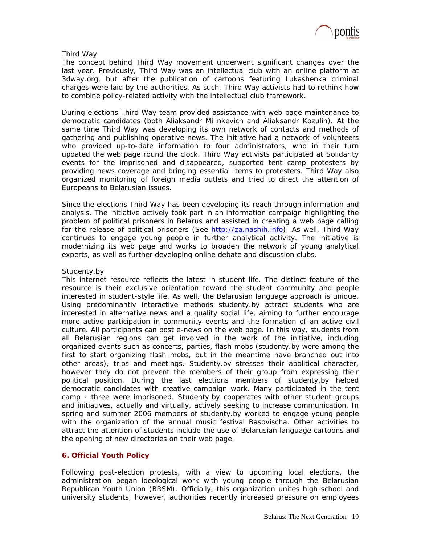

# *Third Way*

The concept behind Third Way movement underwent significant changes over the last year. Previously, Third Way was an intellectual club with an online platform at 3dway.org, but after the publication of cartoons featuring Lukashenka criminal charges were laid by the authorities. As such, Third Way activists had to rethink how to combine policy-related activity with the intellectual club framework.

During elections Third Way team provided assistance with web page maintenance to democratic candidates (both Aliaksandr Milinkevich and Aliaksandr Kozulin). At the same time Third Way was developing its own network of contacts and methods of gathering and publishing operative news. The initiative had a network of volunteers who provided up-to-date information to four administrators, who in their turn updated the web page round the clock. Third Way activists participated at Solidarity events for the imprisoned and disappeared, supported tent camp protesters by providing news coverage and bringing essential items to protesters. Third Way also organized monitoring of foreign media outlets and tried to direct the attention of Europeans to Belarusian issues.

Since the elections Third Way has been developing its reach through information and analysis. The initiative actively took part in an information campaign highlighting the problem of political prisoners in Belarus and assisted in creating a web page calling for the release of political prisoners (See http://za.nashih.info). As well, Third Way continues to engage young people in further analytical activity. The initiative is modernizing its web page and works to broaden the network of young analytical experts, as well as further developing online debate and discussion clubs.

# *Studenty.by*

This internet resource reflects the latest in student life. The distinct feature of the resource is their exclusive orientation toward the student community and people interested in student-style life. As well, the Belarusian language approach is unique. Using predominantly interactive methods studenty.by attract students who are interested in alternative news and a quality social life, aiming to further encourage more active participation in community events and the formation of an active civil culture. All participants can post e-news on the web page. In this way, students from all Belarusian regions can get involved in the work of the initiative, including organized events such as concerts, parties, flash mobs (studenty.by were among the first to start organizing flash mobs, but in the meantime have branched out into other areas), trips and meetings. Studenty.by stresses their apolitical character, however they do not prevent the members of their group from expressing their political position. During the last elections members of studenty.by helped democratic candidates with creative campaign work. Many participated in the tent camp - three were imprisoned. Studenty.by cooperates with other student groups and initiatives, actually and virtually, actively seeking to increase communication. In spring and summer 2006 members of studenty.by worked to engage young people with the organization of the annual music festival *Basovischa*. Other activities to attract the attention of students include the use of Belarusian language cartoons and the opening of new directories on their web page.

# **6. Official Youth Policy**

Following post-election protests, with a view to upcoming local elections, the administration began ideological work with young people through the Belarusian Republican Youth Union (BRSM). Officially, this organization unites high school and university students, however, authorities recently increased pressure on employees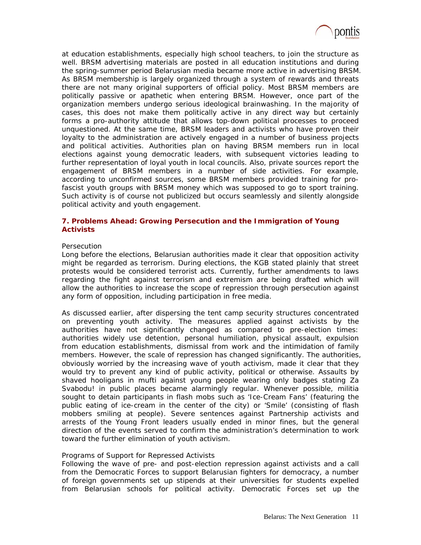

at education establishments, especially high school teachers, to join the structure as well. BRSM advertising materials are posted in all education institutions and during the spring-summer period Belarusian media became more active in advertising BRSM. As BRSM membership is largely organized through a system of rewards and threats there are not many original supporters of official policy. Most BRSM members are politically passive or apathetic when entering BRSM. However, once part of the organization members undergo serious ideological brainwashing. In the majority of cases, this does not make them politically active in any direct way but certainly forms a pro-authority attitude that allows top-down political processes to proceed unquestioned. At the same time, BRSM leaders and activists who have proven their loyalty to the administration are actively engaged in a number of business projects and political activities. Authorities plan on having BRSM members run in local elections against young democratic leaders, with subsequent victories leading to further representation of loyal youth in local councils. Also, private sources report the engagement of BRSM members in a number of side activities. For example, according to unconfirmed sources, some BRSM members provided training for profascist youth groups with BRSM money which was supposed to go to sport training. Such activity is of course not publicized but occurs seamlessly and silently alongside political activity and youth engagement.

# **7. Problems Ahead: Growing Persecution and the Immigration of Young Activists**

#### *Persecution*

Long before the elections, Belarusian authorities made it clear that opposition activity might be regarded as terrorism. During elections, the KGB stated plainly that street protests would be considered terrorist acts. Currently, further amendments to laws regarding the fight against terrorism and extremism are being drafted which will allow the authorities to increase the scope of repression through persecution against any form of opposition, including participation in free media.

As discussed earlier, after dispersing the tent camp security structures concentrated on preventing youth activity. The measures applied against activists by the authorities have not significantly changed as compared to pre-election times: authorities widely use detention, personal humiliation, physical assault, expulsion from education establishments, dismissal from work and the intimidation of family members. However, the scale of repression has changed significantly. The authorities, obviously worried by the increasing wave of youth activism, made it clear that they would try to prevent any kind of public activity, political or otherwise. Assaults by shaved hooligans in mufti against young people wearing only badges stating *Za Svabodu!* in public places became alarmingly regular. Whenever possible, militia sought to detain participants in flash mobs such as 'Ice-Cream Fans' (featuring the public eating of ice-cream in the center of the city) or 'Smile' (consisting of flash mobbers smiling at people). Severe sentences against Partnership activists and arrests of the Young Front leaders usually ended in minor fines, but the general direction of the events served to confirm the administration's determination to work toward the further elimination of youth activism.

#### *Programs of Support for Repressed Activists*

Following the wave of pre- and post-election repression against activists and a call from the Democratic Forces to support Belarusian fighters for democracy, a number of foreign governments set up stipends at their universities for students expelled from Belarusian schools for political activity. Democratic Forces set up the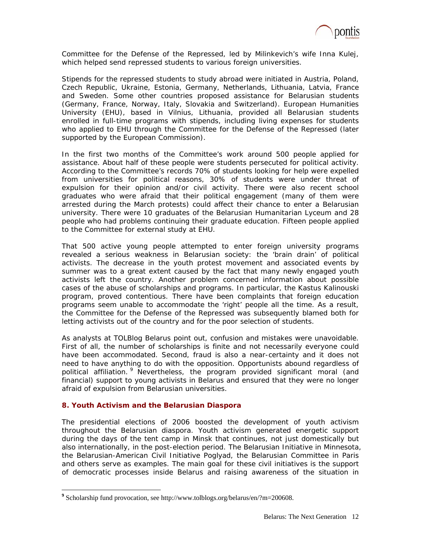

Committee for the Defense of the Repressed, led by Milinkevich's wife Inna Kulej, which helped send repressed students to various foreign universities.

Stipends for the repressed students to study abroad were initiated in Austria, Poland, Czech Republic, Ukraine, Estonia, Germany, Netherlands, Lithuania, Latvia, France and Sweden. Some other countries proposed assistance for Belarusian students (Germany, France, Norway, Italy, Slovakia and Switzerland). European Humanities University (EHU), based in Vilnius, Lithuania, provided all Belarusian students enrolled in full-time programs with stipends, including living expenses for students who applied to EHU through the Committee for the Defense of the Repressed (later supported by the European Commission).

In the first two months of the Committee's work around 500 people applied for assistance. About half of these people were students persecuted for political activity. According to the Committee's records 70% of students looking for help were expelled from universities for political reasons, 30% of students were under threat of expulsion for their opinion and/or civil activity. There were also recent school graduates who were afraid that their political engagement (many of them were arrested during the March protests) could affect their chance to enter a Belarusian university. There were 10 graduates of the Belarusian Humanitarian Lyceum and 28 people who had problems continuing their graduate education. Fifteen people applied to the Committee for external study at EHU.

That 500 active young people attempted to enter foreign university programs revealed a serious weakness in Belarusian society: the 'brain drain' of political activists. The decrease in the youth protest movement and associated events by summer was to a great extent caused by the fact that many newly engaged youth activists left the country. Another problem concerned information about possible cases of the abuse of scholarships and programs. In particular, the *Kastus Kalinouski* program, proved contentious. There have been complaints that foreign education programs seem unable to accommodate the 'right' people all the time. As a result, the Committee for the Defense of the Repressed was subsequently blamed both for letting activists out of the country and for the poor selection of students.

As analysts at TOLBlog Belarus point out, confusion and mistakes were unavoidable. First of all, the number of scholarships is finite and not necessarily everyone could have been accommodated. Second, fraud is also a near-certainty and it does not need to have anything to do with the opposition. Opportunists abound regardless of political affiliation. <sup>9</sup> Nevertheless, the program provided significant moral (and financial) support to young activists in Belarus and ensured that they were no longer afraid of expulsion from Belarusian universities.

### **8. Youth Activism and the Belarusian Diaspora**

 $\overline{a}$ 

The presidential elections of 2006 boosted the development of youth activism throughout the Belarusian diaspora. Youth activism generated energetic support during the days of the tent camp in Minsk that continues, not just domestically but also internationally, in the post-election period. The Belarusian Initiative in Minnesota, the Belarusian-American Civil Initiative *Poglyad*, the Belarusian Committee in Paris and others serve as examples. The main goal for these civil initiatives is the support of democratic processes inside Belarus and raising awareness of the situation in

**<sup>9</sup>** Scholarship fund provocation, see http://www.tolblogs.org/belarus/en/?m=200608.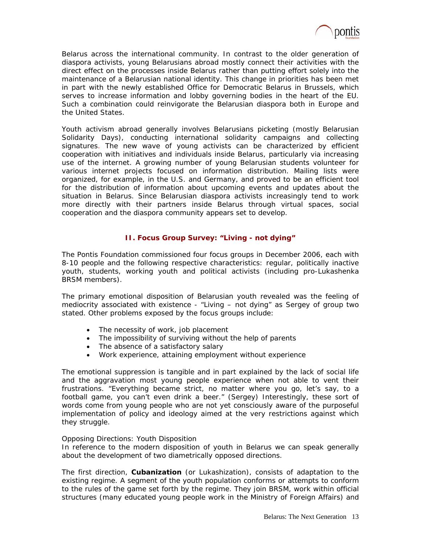

Belarus across the international community. In contrast to the older generation of diaspora activists, young Belarusians abroad mostly connect their activities with the direct effect on the processes inside Belarus rather than putting effort solely into the maintenance of a Belarusian national identity. This change in priorities has been met in part with the newly established Office for Democratic Belarus in Brussels, which serves to increase information and lobby governing bodies in the heart of the EU. Such a combination could reinvigorate the Belarusian diaspora both in Europe and the United States.

Youth activism abroad generally involves Belarusians picketing (mostly Belarusian Solidarity Days), conducting international solidarity campaigns and collecting signatures. The new wave of young activists can be characterized by efficient cooperation with initiatives and individuals inside Belarus, particularly via increasing use of the internet. A growing number of young Belarusian students volunteer for various internet projects focused on information distribution. Mailing lists were organized, for example, in the U.S. and Germany, and proved to be an efficient tool for the distribution of information about upcoming events and updates about the situation in Belarus. Since Belarusian diaspora activists increasingly tend to work more directly with their partners inside Belarus through virtual spaces, social cooperation and the diaspora community appears set to develop.

# **II. Focus Group Survey: "Living - not dying"**

The Pontis Foundation commissioned four focus groups in December 2006, each with 8-10 people and the following respective characteristics: regular, politically inactive youth, students, working youth and political activists (including pro-Lukashenka BRSM members).

The primary emotional disposition of Belarusian youth revealed was the feeling of mediocrity associated with existence - "Living – not dying" as Sergey of group two stated. Other problems exposed by the focus groups include:

- The necessity of work, job placement
- The impossibility of surviving without the help of parents
- The absence of a satisfactory salary
- Work experience, attaining employment without experience

The emotional suppression is tangible and in part explained by the lack of social life and the aggravation most young people experience when not able to vent their frustrations. "Everything became strict, no matter where you go, let's say, to a football game, you can't even drink a beer." (Sergey) Interestingly, these sort of words come from young people who are not yet consciously aware of the purposeful implementation of policy and ideology aimed at the very restrictions against which they struggle.

### *Opposing Directions: Youth Disposition*

In reference to the modern disposition of youth in Belarus we can speak generally about the development of two diametrically opposed directions.

The first direction, **Cubanization** (or Lukashization), consists of adaptation to the existing regime. A segment of the youth population conforms or attempts to conform to the rules of the game set forth by the regime. They join BRSM, work within official structures (many educated young people work in the Ministry of Foreign Affairs) and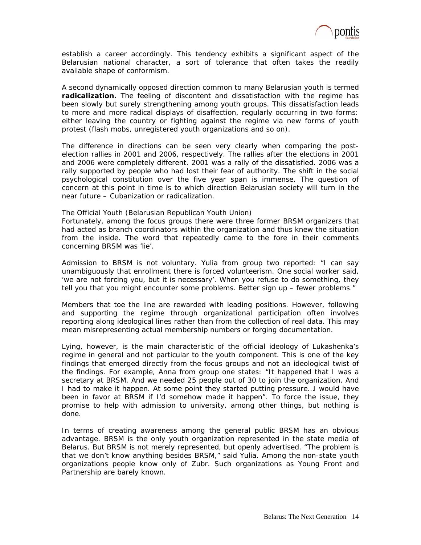

establish a career accordingly. This tendency exhibits a significant aspect of the Belarusian national character, a sort of tolerance that often takes the readily available shape of conformism.

A second dynamically opposed direction common to many Belarusian youth is termed **radicalization.** The feeling of discontent and dissatisfaction with the regime has been slowly but surely strengthening among youth groups. This dissatisfaction leads to more and more radical displays of disaffection, regularly occurring in two forms: either leaving the country or fighting against the regime via new forms of youth protest (flash mobs, unregistered youth organizations and so on).

The difference in directions can be seen very clearly when comparing the postelection rallies in 2001 and 2006, respectively. The rallies after the elections in 2001 and 2006 were completely different. 2001 was a rally of the dissatisfied. 2006 was a rally supported by people who had lost their fear of authority. The shift in the social psychological constitution over the five year span is immense. The question of concern at this point in time is to which direction Belarusian society will turn in the near future – Cubanization or radicalization.

#### *The Official Youth (Belarusian Republican Youth Union)*

Fortunately, among the focus groups there were three former BRSM organizers that had acted as branch coordinators within the organization and thus knew the situation from the inside. The word that repeatedly came to the fore in their comments concerning BRSM was 'lie'.

Admission to BRSM is not voluntary. Yulia from group two reported: "I can say unambiguously that enrollment there is forced volunteerism. One social worker said, 'we are not forcing you, but it is necessary'. When you refuse to do something, they tell you that you might encounter some problems. Better sign up – fewer problems."

Members that toe the line are rewarded with leading positions. However, following and supporting the regime through organizational participation often involves reporting along ideological lines rather than from the collection of real data. This may mean misrepresenting actual membership numbers or forging documentation.

Lying, however, is the main characteristic of the official ideology of Lukashenka's regime in general and not particular to the youth component. This is one of the key findings that emerged directly from the focus groups and not an ideological twist of the findings. For example, Anna from group one states: "It happened that I was a secretary at BRSM. And we needed 25 people out of 30 to join the organization. And I had to make it happen. At some point they started putting pressure…I would have been in favor at BRSM if I'd somehow made it happen". To force the issue, they promise to help with admission to university, among other things, but nothing is done.

In terms of creating awareness among the general public BRSM has an obvious advantage. BRSM is the only youth organization represented in the state media of Belarus. But BRSM is not merely represented, but openly advertised. "The problem is that we don't know anything besides BRSM," said Yulia. Among the non-state youth organizations people know only of Zubr. Such organizations as Young Front and Partnership are barely known.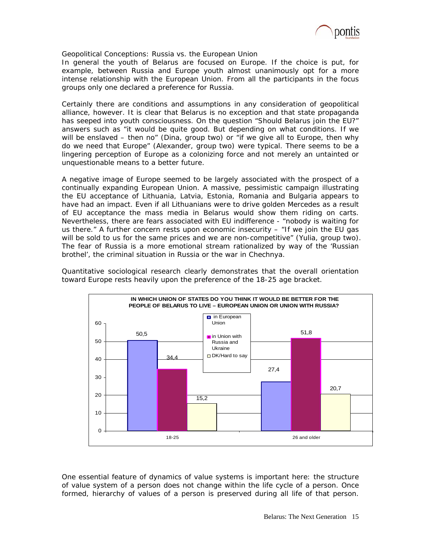

# *Geopolitical Conceptions: Russia vs. the European Union*

In general the youth of Belarus are focused on Europe. If the choice is put, for example, between Russia and Europe youth almost unanimously opt for a more intense relationship with the European Union. From all the participants in the focus groups only one declared a preference for Russia.

Certainly there are conditions and assumptions in any consideration of geopolitical alliance, however. It is clear that Belarus is no exception and that state propaganda has seeped into youth consciousness. On the question "Should Belarus join the EU?" answers such as "it would be quite good. But depending on what conditions. If we will be enslaved – then no" (Dina, group two) or "if we give all to Europe, then why do we need that Europe" (Alexander, group two) were typical. There seems to be a lingering perception of Europe as a colonizing force and not merely an untainted or unquestionable means to a better future.

A negative image of Europe seemed to be largely associated with the prospect of a continually expanding European Union. A massive, pessimistic campaign illustrating the EU acceptance of Lithuania, Latvia, Estonia, Romania and Bulgaria appears to have had an impact. Even if all Lithuanians were to drive golden Mercedes as a result of EU acceptance the mass media in Belarus would show them riding on carts. Nevertheless, there are fears associated with EU indifference - "nobody is waiting for us there." A further concern rests upon economic insecurity – "If we join the EU gas will be sold to us for the same prices and we are non-competitive" (Yulia, group two). The fear of Russia is a more emotional stream rationalized by way of the 'Russian brothel', the criminal situation in Russia or the war in Chechnya.



Quantitative sociological research clearly demonstrates that the overall orientation toward Europe rests heavily upon the preference of the 18-25 age bracket.

One essential feature of dynamics of value systems is important here: the structure of value system of a person does not change within the life cycle of a person. Once formed, hierarchy of values of a person is preserved during all life of that person.

18-25 26 and older

15,2

 $\Omega$ 

10

20

20,7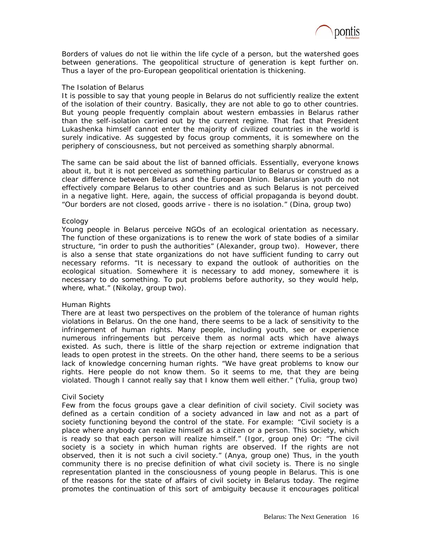

Borders of values do not lie within the life cycle of a person, but the watershed goes between generations. The geopolitical structure of generation is kept further on. Thus a layer of the pro-European geopolitical orientation is thickening.

### *The Isolation of Belarus*

It is possible to say that young people in Belarus do not sufficiently realize the extent of the isolation of their country. Basically, they are not able to go to other countries. But young people frequently complain about western embassies in Belarus rather than the self-isolation carried out by the current regime. That fact that President Lukashenka himself cannot enter the majority of civilized countries in the world is surely indicative. As suggested by focus group comments, it is somewhere on the periphery of consciousness, but not perceived as something sharply abnormal.

The same can be said about the list of banned officials. Essentially, everyone knows about it, but it is not perceived as something particular to Belarus or construed as a clear difference between Belarus and the European Union. Belarusian youth do not effectively compare Belarus to other countries and as such Belarus is not perceived in a negative light. Here, again, the success of official propaganda is beyond doubt. "Our borders are not closed, goods arrive - there is no isolation." (Dina, group two)

### *Ecology*

Young people in Belarus perceive NGOs of an ecological orientation as necessary. The function of these organizations is to renew the work of state bodies of a similar structure, "in order to push the authorities" (Alexander, group two). However, there is also a sense that state organizations do not have sufficient funding to carry out necessary reforms. "It is necessary to expand the outlook of authorities on the ecological situation. Somewhere it is necessary to add money, somewhere it is necessary to do something. To put problems before authority, so they would help, where, what." (Nikolay, group two).

### *Human Rights*

There are at least two perspectives on the problem of the tolerance of human rights violations in Belarus. On the one hand, there seems to be a lack of sensitivity to the infringement of human rights. Many people, including youth, see or experience numerous infringements but perceive them as normal acts which have always existed. As such, there is little of the sharp rejection or extreme indignation that leads to open protest in the streets. On the other hand, there seems to be a serious lack of knowledge concerning human rights. "We have great problems to know our rights. Here people do not know them. So it seems to me, that they are being violated. Though I cannot really say that I know them well either." (Yulia, group two)

### *Civil Society*

Few from the focus groups gave a clear definition of civil society. Civil society was defined as a certain condition of a society advanced in law and not as a part of society functioning beyond the control of the state. For example: "Civil society is a place where anybody can realize himself as a citizen or a person. This society, which is ready so that each person will realize himself." (Igor, group one) Or: "The civil society is a society in which human rights are observed. If the rights are not observed, then it is not such a civil society." (Anya, group one) Thus, in the youth community there is no precise definition of what civil society is. There is no single representation planted in the consciousness of young people in Belarus. This is one of the reasons for the state of affairs of civil society in Belarus today. The regime promotes the continuation of this sort of ambiguity because it encourages political